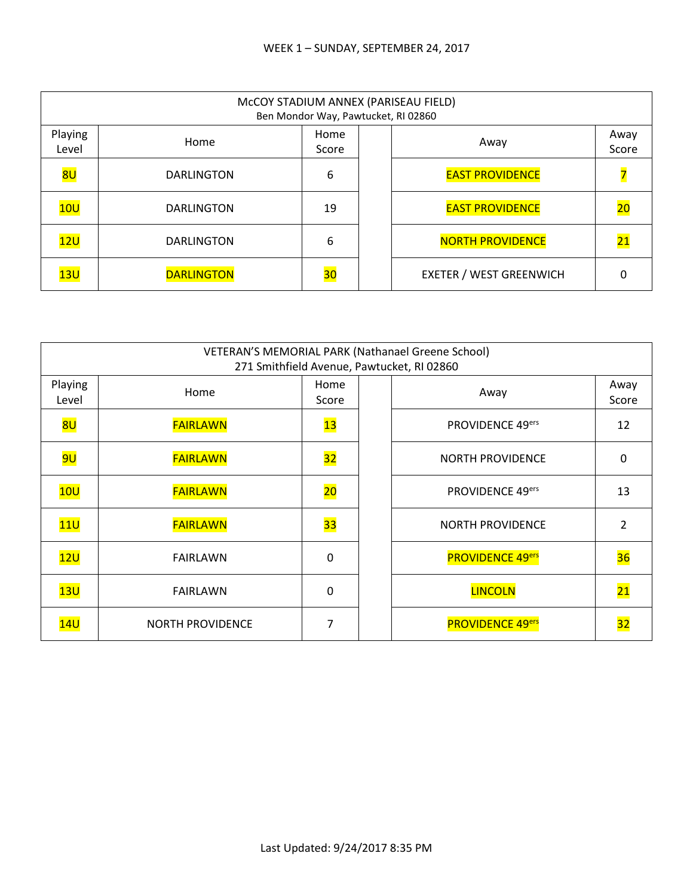|                  | McCOY STADIUM ANNEX (PARISEAU FIELD)<br>Ben Mondor Way, Pawtucket, RI 02860 |               |  |                                |                 |  |  |
|------------------|-----------------------------------------------------------------------------|---------------|--|--------------------------------|-----------------|--|--|
| Playing<br>Level | Home                                                                        | Home<br>Score |  | Away                           | Away<br>Score   |  |  |
| 8U               | <b>DARLINGTON</b>                                                           | 6             |  | <b>EAST PROVIDENCE</b>         |                 |  |  |
| 10U              | <b>DARLINGTON</b>                                                           | 19            |  | <b>EAST PROVIDENCE</b>         | $\overline{20}$ |  |  |
| 12U              | <b>DARLINGTON</b>                                                           | 6             |  | <b>NORTH PROVIDENCE</b>        | $\overline{21}$ |  |  |
| 13U              | <b>DARLINGTON</b>                                                           | 30            |  | <b>EXETER / WEST GREENWICH</b> |                 |  |  |

|                  | VETERAN'S MEMORIAL PARK (Nathanael Greene School)<br>271 Smithfield Avenue, Pawtucket, RI 02860 |                 |  |                         |                 |  |  |
|------------------|-------------------------------------------------------------------------------------------------|-----------------|--|-------------------------|-----------------|--|--|
| Playing<br>Level | Home                                                                                            | Home<br>Score   |  | Away                    | Away<br>Score   |  |  |
| 8U               | <b>FAIRLAWN</b>                                                                                 | 13              |  | PROVIDENCE 49ers        | 12              |  |  |
| <mark>9U</mark>  | <b>FAIRLAWN</b>                                                                                 | 32              |  | <b>NORTH PROVIDENCE</b> | 0               |  |  |
| 10U              | <b>FAIRLAWN</b>                                                                                 | $\overline{20}$ |  | PROVIDENCE 49ers        | 13              |  |  |
| 11U              | <b>FAIRLAWN</b>                                                                                 | 33              |  | <b>NORTH PROVIDENCE</b> | 2               |  |  |
| 12U              | <b>FAIRLAWN</b>                                                                                 | 0               |  | <b>PROVIDENCE 49ers</b> | 36              |  |  |
| 13U              | <b>FAIRLAWN</b>                                                                                 | 0               |  | <b>LINCOLN</b>          | 21              |  |  |
| 14U              | <b>NORTH PROVIDENCE</b>                                                                         | 7               |  | <b>PROVIDENCE 49ers</b> | $\overline{32}$ |  |  |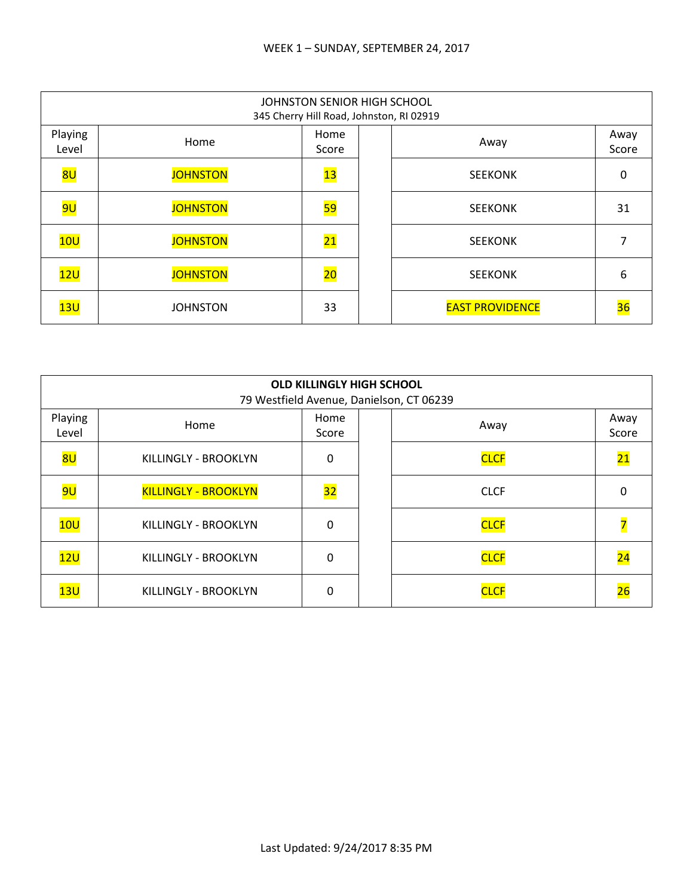|                  | JOHNSTON SENIOR HIGH SCHOOL<br>345 Cherry Hill Road, Johnston, RI 02919 |                 |  |                        |               |  |  |
|------------------|-------------------------------------------------------------------------|-----------------|--|------------------------|---------------|--|--|
| Playing<br>Level | Home                                                                    | Home<br>Score   |  | Away                   | Away<br>Score |  |  |
| 8U               | <b>JOHNSTON</b>                                                         | $\overline{13}$ |  | <b>SEEKONK</b>         | 0             |  |  |
| <mark>9U</mark>  | <b>JOHNSTON</b>                                                         | <mark>59</mark> |  | <b>SEEKONK</b>         | 31            |  |  |
| 10U              | <b>JOHNSTON</b>                                                         | $\overline{21}$ |  | <b>SEEKONK</b>         | 7             |  |  |
| 12U              | <b>JOHNSTON</b>                                                         | $\overline{20}$ |  | <b>SEEKONK</b>         | 6             |  |  |
| 13U              | <b>JOHNSTON</b>                                                         | 33              |  | <b>EAST PROVIDENCE</b> | 36            |  |  |

|                  | <b>OLD KILLINGLY HIGH SCHOOL</b><br>79 Westfield Avenue, Danielson, CT 06239 |               |  |             |                 |  |  |
|------------------|------------------------------------------------------------------------------|---------------|--|-------------|-----------------|--|--|
| Playing<br>Level | Home                                                                         | Home<br>Score |  | Away        | Away<br>Score   |  |  |
| 8 <sub>U</sub>   | KILLINGLY - BROOKLYN                                                         | 0             |  | <b>CLCF</b> | $\overline{21}$ |  |  |
| <mark>9U</mark>  | <b>KILLINGLY - BROOKLYN</b>                                                  | 32            |  | <b>CLCF</b> | 0               |  |  |
| 10U              | KILLINGLY - BROOKLYN                                                         | $\Omega$      |  | <b>CLCF</b> |                 |  |  |
| 12U              | KILLINGLY - BROOKLYN                                                         | $\Omega$      |  | <b>CLCF</b> | $\overline{24}$ |  |  |
| 13U              | KILLINGLY - BROOKLYN                                                         | 0             |  | <b>CLCF</b> |                 |  |  |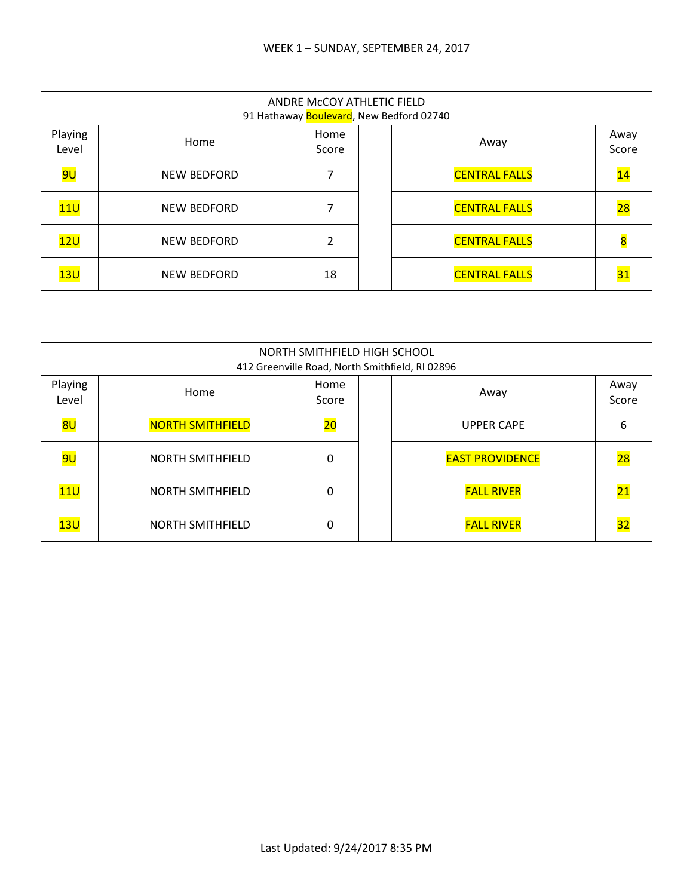|                  | ANDRE McCOY ATHLETIC FIELD<br>91 Hathaway Boulevard, New Bedford 02740 |               |  |                      |                          |  |  |
|------------------|------------------------------------------------------------------------|---------------|--|----------------------|--------------------------|--|--|
| Playing<br>Level | Home                                                                   | Home<br>Score |  | Away                 | Away<br>Score            |  |  |
| <mark>9U</mark>  | <b>NEW BEDFORD</b>                                                     |               |  | <b>CENTRAL FALLS</b> | $\overline{\mathbf{14}}$ |  |  |
| 11U              | <b>NEW BEDFORD</b>                                                     |               |  | <b>CENTRAL FALLS</b> | $\overline{28}$          |  |  |
| 12U              | <b>NEW BEDFORD</b>                                                     | $\mathfrak z$ |  | <b>CENTRAL FALLS</b> | 8                        |  |  |
| 13U              | <b>NEW BEDFORD</b>                                                     | 18            |  | <b>CENTRAL FALLS</b> | $\overline{31}$          |  |  |

| NORTH SMITHFIELD HIGH SCHOOL<br>412 Greenville Road, North Smithfield, RI 02896 |                         |                 |  |                        |                 |  |
|---------------------------------------------------------------------------------|-------------------------|-----------------|--|------------------------|-----------------|--|
| Playing<br>Level                                                                | Home                    | Home<br>Score   |  | Away                   | Away<br>Score   |  |
| 8U                                                                              | <b>NORTH SMITHFIELD</b> | $\overline{20}$ |  | <b>UPPER CAPE</b>      | 6               |  |
| <mark>9U</mark>                                                                 | <b>NORTH SMITHFIELD</b> | 0               |  | <b>EAST PROVIDENCE</b> | $\overline{28}$ |  |
| 11U                                                                             | <b>NORTH SMITHFIELD</b> | 0               |  | <b>FALL RIVER</b>      | <u> 21</u>      |  |
| 13U                                                                             | <b>NORTH SMITHFIELD</b> | 0               |  | <b>FALL RIVER</b>      | 32              |  |